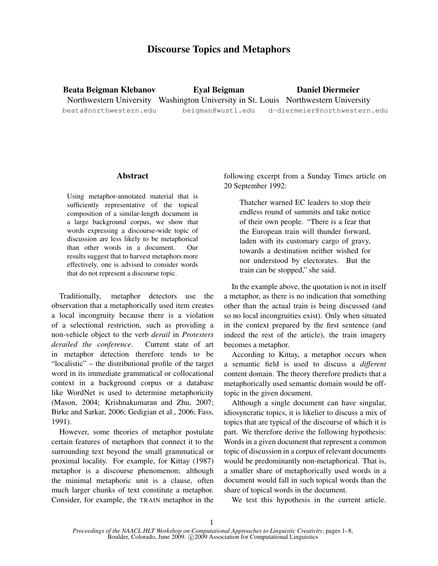# Discourse Topics and Metaphors

Beata Beigman Klebanov Northwestern University Washington University in St. Louis Northwestern University beata@northwestern.edu Eyal Beigman beigman@wustl.edu Daniel Diermeier d-diermeier@northwestern.edu

### Abstract

Using metaphor-annotated material that is sufficiently representative of the topical composition of a similar-length document in a large background corpus, we show that words expressing a discourse-wide topic of discussion are less likely to be metaphorical than other words in a document. Our results suggest that to harvest metaphors more effectively, one is advised to consider words that do not represent a discourse topic.

Traditionally, metaphor detectors use the observation that a metaphorically used item creates a local incongruity because there is a violation of a selectional restriction, such as providing a non-vehicle object to the verb *derail* in *Protesters derailed the conference*. Current state of art in metaphor detection therefore tends to be "localistic" – the distributional profile of the target word in its immediate grammatical or collocational context in a background corpus or a database like WordNet is used to determine metaphoricity (Mason, 2004; Krishnakumaran and Zhu, 2007; Birke and Sarkar, 2006; Gedigian et al., 2006; Fass, 1991).

However, some theories of metaphor postulate certain features of metaphors that connect it to the surrounding text beyond the small grammatical or proximal locality. For example, for Kittay (1987) metaphor is a discourse phenomenon; although the minimal metaphoric unit is a clause, often much larger chunks of text constitute a metaphor. Consider, for example, the TRAIN metaphor in the following excerpt from a Sunday Times article on 20 September 1992:

> Thatcher warned EC leaders to stop their endless round of summits and take notice of their own people. "There is a fear that the European train will thunder forward, laden with its customary cargo of gravy, towards a destination neither wished for nor understood by electorates. But the train can be stopped," she said.

In the example above, the quotation is not in itself a metaphor, as there is no indication that something other than the actual train is being discussed (and so no local incongruities exist). Only when situated in the context prepared by the first sentence (and indeed the rest of the article), the train imagery becomes a metaphor.

According to Kittay, a metaphor occurs when a semantic field is used to discuss a *different* content domain. The theory therefore predicts that a metaphorically used semantic domain would be offtopic in the given document.

Although a single document can have singular, idiosyncratic topics, it is likelier to discuss a mix of topics that are typical of the discourse of which it is part. We therefore derive the following hypothesis: Words in a given document that represent a common topic of discussion in a corpus of relevant documents would be predominantly non-metaphorical. That is, a smaller share of metaphorically used words in a document would fall in such topical words than the share of topical words in the document.

We test this hypothesis in the current article.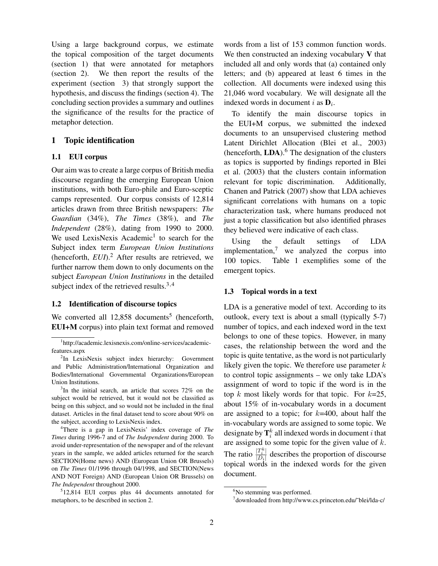Using a large background corpus, we estimate the topical composition of the target documents (section 1) that were annotated for metaphors (section 2). We then report the results of the experiment (section 3) that strongly support the hypothesis, and discuss the findings (section 4). The concluding section provides a summary and outlines the significance of the results for the practice of metaphor detection.

### 1 Topic identification

### 1.1 EUI corpus

Our aim was to create a large corpus of British media discourse regarding the emerging European Union institutions, with both Euro-phile and Euro-sceptic camps represented. Our corpus consists of 12,814 articles drawn from three British newspapers: *The Guardian* (34%), *The Times* (38%), and *The Independent* (28%), dating from 1990 to 2000. We used LexisNexis Academic<sup>1</sup> to search for the Subject index term *European Union Institutions* (henceforth, *EUI*).<sup>2</sup> After results are retrieved, we further narrow them down to only documents on the subject *European Union Institutions* in the detailed subject index of the retrieved results.<sup>3,4</sup>

### 1.2 Identification of discourse topics

We converted all  $12,858$  documents<sup>5</sup> (henceforth, EUI+M corpus) into plain text format and removed

<sup>4</sup>There is a gap in LexisNexis' index coverage of *The Times* during 1996-7 and of *The Independent* during 2000. To avoid under-representation of the newspaper and of the relevant years in the sample, we added articles returned for the search SECTION(Home news) AND (European Union OR Brussels) on *The Times* 01/1996 through 04/1998, and SECTION(News AND NOT Foreign) AND (European Union OR Brussels) on *The Independent* throughout 2000.

words from a list of 153 common function words. We then constructed an indexing vocabulary  $V$  that included all and only words that (a) contained only letters; and (b) appeared at least 6 times in the collection. All documents were indexed using this 21,046 word vocabulary. We will designate all the indexed words in document *i* as  $D_i$ .

To identify the main discourse topics in the EUI+M corpus, we submitted the indexed documents to an unsupervised clustering method Latent Dirichlet Allocation (Blei et al., 2003) (henceforth,  $LDA$ ).<sup>6</sup> The designation of the clusters as topics is supported by findings reported in Blei et al. (2003) that the clusters contain information relevant for topic discrimination. Additionally, Chanen and Patrick (2007) show that LDA achieves significant correlations with humans on a topic characterization task, where humans produced not just a topic classification but also identified phrases they believed were indicative of each class.

Using the default settings of LDA implementation, $\frac{7}{1}$  we analyzed the corpus into 100 topics. Table 1 exemplifies some of the emergent topics.

### 1.3 Topical words in a text

LDA is a generative model of text. According to its outlook, every text is about a small (typically 5-7) number of topics, and each indexed word in the text belongs to one of these topics. However, in many cases, the relationship between the word and the topic is quite tentative, as the word is not particularly likely given the topic. We therefore use parameter  $k$ to control topic assignments – we only take LDA's assignment of word to topic if the word is in the top k most likely words for that topic. For  $k=25$ , about 15% of in-vocabulary words in a document are assigned to a topic; for  $k=400$ , about half the in-vocabulary words are assigned to some topic. We designate by  $\mathbf{T}_i^k$  all indexed words in document *i* that are assigned to some topic for the given value of  $k$ . The ratio  $\frac{|T_i^k|}{|D_i|}$  describes the proportion of discourse topical words in the indexed words for the given document.

<sup>1</sup> http://academic.lexisnexis.com/online-services/academicfeatures.aspx

<sup>&</sup>lt;sup>2</sup>In LexisNexis subject index hierarchy: Government and Public Administration/International Organization and Bodies/International Governmental Organizations/European Union Institutions.

<sup>&</sup>lt;sup>3</sup>In the initial search, an article that scores 72% on the subject would be retrieved, but it would not be classified as being on this subject, and so would not be included in the final dataset. Articles in the final dataset tend to score about 90% on the subject, according to LexisNexis index.

<sup>5</sup> 12,814 EUI corpus plus 44 documents annotated for metaphors, to be described in section 2.

<sup>&</sup>lt;sup>6</sup>No stemming was performed.

<sup>7</sup> downloaded from http://www.cs.princeton.edu/˜blei/lda-c/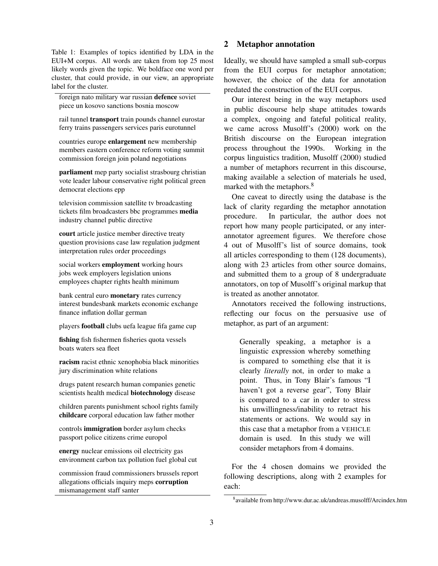Table 1: Examples of topics identified by LDA in the EUI+M corpus. All words are taken from top 25 most likely words given the topic. We boldface one word per cluster, that could provide, in our view, an appropriate label for the cluster.

foreign nato military war russian defence soviet piece un kosovo sanctions bosnia moscow

rail tunnel transport train pounds channel eurostar ferry trains passengers services paris eurotunnel

countries europe enlargement new membership members eastern conference reform voting summit commission foreign join poland negotiations

parliament mep party socialist strasbourg christian vote leader labour conservative right political green democrat elections epp

television commission satellite tv broadcasting tickets film broadcasters bbc programmes media industry channel public directive

court article justice member directive treaty question provisions case law regulation judgment interpretation rules order proceedings

social workers employment working hours jobs week employers legislation unions employees chapter rights health minimum

bank central euro monetary rates currency interest bundesbank markets economic exchange finance inflation dollar german

players football clubs uefa league fifa game cup

fishing fish fishermen fisheries quota vessels boats waters sea fleet

racism racist ethnic xenophobia black minorities jury discrimination white relations

drugs patent research human companies genetic scientists health medical biotechnology disease

children parents punishment school rights family childcare corporal education law father mother

controls immigration border asylum checks passport police citizens crime europol

energy nuclear emissions oil electricity gas environment carbon tax pollution fuel global cut

commission fraud commissioners brussels report allegations officials inquiry meps corruption mismanagement staff santer

### 2 Metaphor annotation

Ideally, we should have sampled a small sub-corpus from the EUI corpus for metaphor annotation; however, the choice of the data for annotation predated the construction of the EUI corpus.

Our interest being in the way metaphors used in public discourse help shape attitudes towards a complex, ongoing and fateful political reality, we came across Musolff's (2000) work on the British discourse on the European integration process throughout the 1990s. Working in the corpus linguistics tradition, Musolff (2000) studied a number of metaphors recurrent in this discourse, making available a selection of materials he used, marked with the metaphors.<sup>8</sup>

One caveat to directly using the database is the lack of clarity regarding the metaphor annotation procedure. In particular, the author does not report how many people participated, or any interannotator agreement figures. We therefore chose 4 out of Musolff's list of source domains, took all articles corresponding to them (128 documents), along with 23 articles from other source domains, and submitted them to a group of 8 undergraduate annotators, on top of Musolff's original markup that is treated as another annotator.

Annotators received the following instructions, reflecting our focus on the persuasive use of metaphor, as part of an argument:

Generally speaking, a metaphor is a linguistic expression whereby something is compared to something else that it is clearly *literally* not, in order to make a point. Thus, in Tony Blair's famous "I haven't got a reverse gear", Tony Blair is compared to a car in order to stress his unwillingness/inability to retract his statements or actions. We would say in this case that a metaphor from a VEHICLE domain is used. In this study we will consider metaphors from 4 domains.

For the 4 chosen domains we provided the following descriptions, along with 2 examples for each:

<sup>8</sup> available from http://www.dur.ac.uk/andreas.musolff/Arcindex.htm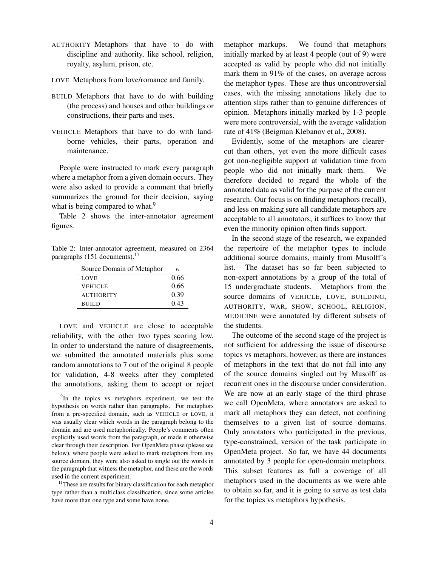- AUTHORITY Metaphors that have to do with discipline and authority, like school, religion, royalty, asylum, prison, etc.
- LOVE Metaphors from love/romance and family.
- BUILD Metaphors that have to do with building (the process) and houses and other buildings or constructions, their parts and uses.
- VEHICLE Metaphors that have to do with landborne vehicles, their parts, operation and maintenance.

People were instructed to mark every paragraph where a metaphor from a given domain occurs. They were also asked to provide a comment that briefly summarizes the ground for their decision, saying what is being compared to what.<sup>9</sup>

Table 2 shows the inter-annotator agreement figures.

Table 2: Inter-annotator agreement, measured on 2364 paragraphs  $(151$  documents).<sup>11</sup>

| Source Domain of Metaphor | к,   |
|---------------------------|------|
| <b>LOVE</b>               | 0.66 |
| <b>VEHICLE</b>            | 0.66 |
| <b>AUTHORITY</b>          | 0.39 |
| <b>BUILD</b>              | 0.43 |

LOVE and VEHICLE are close to acceptable reliability, with the other two types scoring low. In order to understand the nature of disagreements, we submitted the annotated materials plus some random annotations to 7 out of the original 8 people for validation, 4-8 weeks after they completed the annotations, asking them to accept or reject metaphor markups. We found that metaphors initially marked by at least 4 people (out of 9) were accepted as valid by people who did not initially mark them in 91% of the cases, on average across the metaphor types. These are thus uncontroversial cases, with the missing annotations likely due to attention slips rather than to genuine differences of opinion. Metaphors initially marked by 1-3 people were more controversial, with the average validation rate of 41% (Beigman Klebanov et al., 2008).

Evidently, some of the metaphors are clearercut than others, yet even the more difficult cases got non-negligible support at validation time from people who did not initially mark them. We therefore decided to regard the whole of the annotated data as valid for the purpose of the current research. Our focus is on finding metaphors (recall), and less on making sure all candidate metaphors are acceptable to all annotators; it suffices to know that even the minority opinion often finds support.

In the second stage of the research, we expanded the repertoire of the metaphor types to include additional source domains, mainly from Musolff's list. The dataset has so far been subjected to non-expert annotations by a group of the total of 15 undergraduate students. Metaphors from the source domains of VEHICLE, LOVE, BUILDING, AUTHORITY, WAR, SHOW, SCHOOL, RELIGION, MEDICINE were annotated by different subsets of the students.

The outcome of the second stage of the project is not sufficient for addressing the issue of discourse topics vs metaphors, however, as there are instances of metaphors in the text that do not fall into any of the source domains singled out by Musolff as recurrent ones in the discourse under consideration. We are now at an early stage of the third phrase we call OpenMeta, where annotators are asked to mark all metaphors they can detect, not confining themselves to a given list of source domains. Only annotators who participated in the previous, type-constrained, version of the task participate in OpenMeta project. So far, we have 44 documents annotated by 3 people for open-domain metaphors. This subset features as full a coverage of all metaphors used in the documents as we were able to obtain so far, and it is going to serve as test data for the topics vs metaphors hypothesis.

<sup>&</sup>lt;sup>9</sup>In the topics vs metaphors experiment, we test the hypothesis on words rather than paragraphs. For metaphors from a pre-specified domain, such as VEHICLE or LOVE, it was usually clear which words in the paragraph belong to the domain and are used metaphorically. People's comments often explicitly used words from the paragraph, or made it otherwise clear through their description. For OpenMeta phase (please see below), where people were asked to mark metaphors from any source domain, they were also asked to single out the words in the paragraph that witness the metaphor, and these are the words used in the current experiment.

<sup>&</sup>lt;sup>11</sup>These are results for binary classification for each metaphor type rather than a multiclass classification, since some articles have more than one type and some have none.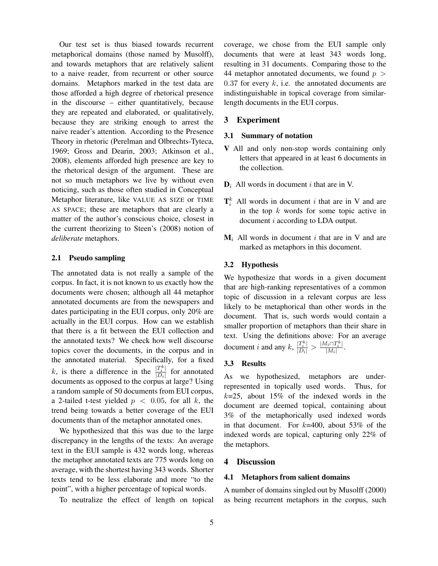Our test set is thus biased towards recurrent metaphorical domains (those named by Musolff), and towards metaphors that are relatively salient to a naive reader, from recurrent or other source domains. Metaphors marked in the test data are those afforded a high degree of rhetorical presence in the discourse – either quantitatively, because they are repeated and elaborated, or qualitatively, because they are striking enough to arrest the naive reader's attention. According to the Presence Theory in rhetoric (Perelman and Olbrechts-Tyteca, 1969; Gross and Dearin, 2003; Atkinson et al., 2008), elements afforded high presence are key to the rhetorical design of the argument. These are not so much metaphors we live by without even noticing, such as those often studied in Conceptual Metaphor literature, like VALUE AS SIZE or TIME AS SPACE; these are metaphors that are clearly a matter of the author's conscious choice, closest in the current theorizing to Steen's (2008) notion of *deliberate* metaphors.

#### 2.1 Pseudo sampling

The annotated data is not really a sample of the corpus. In fact, it is not known to us exactly how the documents were chosen; although all 44 metaphor annotated documents are from the newspapers and dates participating in the EUI corpus, only 20% are actually in the EUI corpus. How can we establish that there is a fit between the EUI collection and the annotated texts? We check how well discourse topics cover the documents, in the corpus and in the annotated material. Specifically, for a fixed k, is there a difference in the  $\frac{|T_i^k|}{|D_i|}$  for annotated documents as opposed to the corpus at large? Using a random sample of 50 documents from EUI corpus, a 2-tailed t-test yielded  $p < 0.05$ , for all k, the trend being towards a better coverage of the EUI documents than of the metaphor annotated ones.

We hypothesized that this was due to the large discrepancy in the lengths of the texts: An average text in the EUI sample is 432 words long, whereas the metaphor annotated texts are 775 words long on average, with the shortest having 343 words. Shorter texts tend to be less elaborate and more "to the point", with a higher percentage of topical words.

To neutralize the effect of length on topical

coverage, we chose from the EUI sample only documents that were at least 343 words long, resulting in 31 documents. Comparing those to the 44 metaphor annotated documents, we found  $p >$  $0.37$  for every k, i.e. the annotated documents are indistinguishable in topical coverage from similarlength documents in the EUI corpus.

#### 3 Experiment

#### 3.1 Summary of notation

- V All and only non-stop words containing only letters that appeared in at least 6 documents in the collection.
- $D_i$  All words in document i that are in V.
- $\mathbf{T}_i^k$  All words in document *i* that are in V and are in the top  $k$  words for some topic active in document i according to LDA output.
- $M_i$  All words in document i that are in V and are marked as metaphors in this document.

#### 3.2 Hypothesis

We hypothesize that words in a given document that are high-ranking representatives of a common topic of discussion in a relevant corpus are less likely to be metaphorical than other words in the document. That is, such words would contain a smaller proportion of metaphors than their share in text. Using the definitions above: For an average document *i* and any  $k$ ,  $\frac{|T_i^k|}{|D_i|} > \frac{|M_i \cap T_i^k|}{|M_i|}$ .

#### 3.3 Results

As we hypothesized, metaphors are underrepresented in topically used words. Thus, for  $k=25$ , about 15% of the indexed words in the document are deemed topical, containing about 3% of the metaphorically used indexed words in that document. For  $k=400$ , about 53% of the indexed words are topical, capturing only 22% of the metaphors.

#### 4 Discussion

#### 4.1 Metaphors from salient domains

A number of domains singled out by Musolff (2000) as being recurrent metaphors in the corpus, such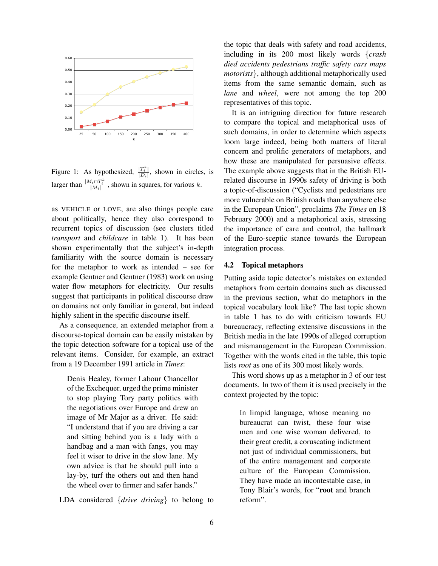

Figure 1: As hypothesized,  $\frac{|T_i^k|}{|D_i|}$ , shown in circles, is larger than  $\frac{|M_i \cap T_i^k|}{|M_i|}$ , shown in squares, for various k.

as VEHICLE or LOVE, are also things people care about politically, hence they also correspond to recurrent topics of discussion (see clusters titled *transport* and *childcare* in table 1). It has been shown experimentally that the subject's in-depth familiarity with the source domain is necessary for the metaphor to work as intended – see for example Gentner and Gentner (1983) work on using water flow metaphors for electricity. Our results suggest that participants in political discourse draw on domains not only familiar in general, but indeed highly salient in the specific discourse itself.

As a consequence, an extended metaphor from a discourse-topical domain can be easily mistaken by the topic detection software for a topical use of the relevant items. Consider, for example, an extract from a 19 December 1991 article in *Times*:

Denis Healey, former Labour Chancellor of the Exchequer, urged the prime minister to stop playing Tory party politics with the negotiations over Europe and drew an image of Mr Major as a driver. He said: "I understand that if you are driving a car and sitting behind you is a lady with a handbag and a man with fangs, you may feel it wiser to drive in the slow lane. My own advice is that he should pull into a lay-by, turf the others out and then hand the wheel over to firmer and safer hands."

LDA considered {*drive driving*} to belong to

the topic that deals with safety and road accidents, including in its 200 most likely words {*crash died accidents pedestrians traffic safety cars maps motorists*}, although additional metaphorically used items from the same semantic domain, such as *lane* and *wheel*, were not among the top 200 representatives of this topic.

It is an intriguing direction for future research to compare the topical and metaphorical uses of such domains, in order to determine which aspects loom large indeed, being both matters of literal concern and prolific generators of metaphors, and how these are manipulated for persuasive effects. The example above suggests that in the British EUrelated discourse in 1990s safety of driving is both a topic-of-discussion ("Cyclists and pedestrians are more vulnerable on British roads than anywhere else in the European Union", proclaims *The Times* on 18 February 2000) and a metaphorical axis, stressing the importance of care and control, the hallmark of the Euro-sceptic stance towards the European integration process.

### 4.2 Topical metaphors

Putting aside topic detector's mistakes on extended metaphors from certain domains such as discussed in the previous section, what do metaphors in the topical vocabulary look like? The last topic shown in table 1 has to do with criticism towards EU bureaucracy, reflecting extensive discussions in the British media in the late 1990s of alleged corruption and mismanagement in the European Commission. Together with the words cited in the table, this topic lists *root* as one of its 300 most likely words.

This word shows up as a metaphor in 3 of our test documents. In two of them it is used precisely in the context projected by the topic:

In limpid language, whose meaning no bureaucrat can twist, these four wise men and one wise woman delivered, to their great credit, a coruscating indictment not just of individual commissioners, but of the entire management and corporate culture of the European Commission. They have made an incontestable case, in Tony Blair's words, for "root and branch reform".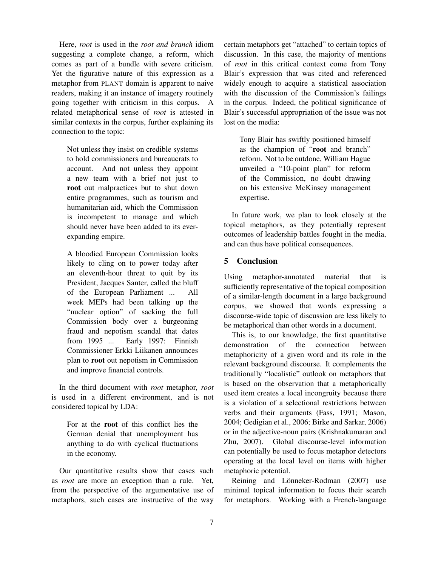Here, *root* is used in the *root and branch* idiom suggesting a complete change, a reform, which comes as part of a bundle with severe criticism. Yet the figurative nature of this expression as a metaphor from PLANT domain is apparent to naive readers, making it an instance of imagery routinely going together with criticism in this corpus. A related metaphorical sense of *root* is attested in similar contexts in the corpus, further explaining its connection to the topic:

Not unless they insist on credible systems to hold commissioners and bureaucrats to account. And not unless they appoint a new team with a brief not just to root out malpractices but to shut down entire programmes, such as tourism and humanitarian aid, which the Commission is incompetent to manage and which should never have been added to its everexpanding empire.

A bloodied European Commission looks likely to cling on to power today after an eleventh-hour threat to quit by its President, Jacques Santer, called the bluff of the European Parliament ... All week MEPs had been talking up the "nuclear option" of sacking the full Commission body over a burgeoning fraud and nepotism scandal that dates from 1995 ... Early 1997: Finnish Commissioner Erkki Liikanen announces plan to root out nepotism in Commission and improve financial controls.

In the third document with *root* metaphor, *root* is used in a different environment, and is not considered topical by LDA:

For at the root of this conflict lies the German denial that unemployment has anything to do with cyclical fluctuations in the economy.

Our quantitative results show that cases such as *root* are more an exception than a rule. Yet, from the perspective of the argumentative use of metaphors, such cases are instructive of the way certain metaphors get "attached" to certain topics of discussion. In this case, the majority of mentions of *root* in this critical context come from Tony Blair's expression that was cited and referenced widely enough to acquire a statistical association with the discussion of the Commission's failings in the corpus. Indeed, the political significance of Blair's successful appropriation of the issue was not lost on the media:

Tony Blair has swiftly positioned himself as the champion of "root and branch" reform. Not to be outdone, William Hague unveiled a "10-point plan" for reform of the Commission, no doubt drawing on his extensive McKinsey management expertise.

In future work, we plan to look closely at the topical metaphors, as they potentially represent outcomes of leadership battles fought in the media, and can thus have political consequences.

## 5 Conclusion

Using metaphor-annotated material that is sufficiently representative of the topical composition of a similar-length document in a large background corpus, we showed that words expressing a discourse-wide topic of discussion are less likely to be metaphorical than other words in a document.

This is, to our knowledge, the first quantitative demonstration of the connection between metaphoricity of a given word and its role in the relevant background discourse. It complements the traditionally "localistic" outlook on metaphors that is based on the observation that a metaphorically used item creates a local incongruity because there is a violation of a selectional restrictions between verbs and their arguments (Fass, 1991; Mason, 2004; Gedigian et al., 2006; Birke and Sarkar, 2006) or in the adjective-noun pairs (Krishnakumaran and Zhu, 2007). Global discourse-level information can potentially be used to focus metaphor detectors operating at the local level on items with higher metaphoric potential.

Reining and Lönneker-Rodman (2007) use minimal topical information to focus their search for metaphors. Working with a French-language